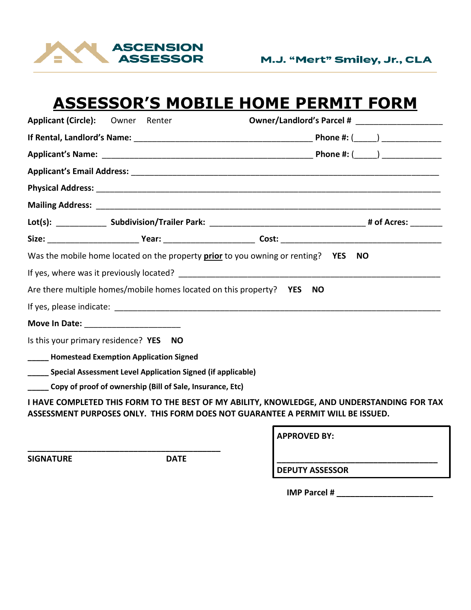

## **ASSESSOR'S MOBILE HOME PERMIT FORM**

| Applicant (Circle): Owner Renter |                                                                  |                                                                                                                                                                               |      |
|----------------------------------|------------------------------------------------------------------|-------------------------------------------------------------------------------------------------------------------------------------------------------------------------------|------|
|                                  |                                                                  |                                                                                                                                                                               |      |
|                                  |                                                                  |                                                                                                                                                                               |      |
|                                  |                                                                  |                                                                                                                                                                               |      |
|                                  |                                                                  |                                                                                                                                                                               |      |
|                                  |                                                                  |                                                                                                                                                                               |      |
|                                  |                                                                  |                                                                                                                                                                               |      |
|                                  |                                                                  |                                                                                                                                                                               |      |
|                                  |                                                                  | Was the mobile home located on the property prior to you owning or renting? YES                                                                                               | - NO |
|                                  |                                                                  |                                                                                                                                                                               |      |
|                                  |                                                                  | Are there multiple homes/mobile homes located on this property? YES NO                                                                                                        |      |
|                                  |                                                                  |                                                                                                                                                                               |      |
|                                  |                                                                  |                                                                                                                                                                               |      |
|                                  | Is this your primary residence? YES NO                           |                                                                                                                                                                               |      |
|                                  | <b>______ Homestead Exemption Application Signed</b>             |                                                                                                                                                                               |      |
|                                  | ____ Special Assessment Level Application Signed (if applicable) |                                                                                                                                                                               |      |
|                                  | Copy of proof of ownership (Bill of Sale, Insurance, Etc)        |                                                                                                                                                                               |      |
|                                  |                                                                  | I HAVE COMPLETED THIS FORM TO THE BEST OF MY ABILITY, KNOWLEDGE, AND UNDERSTANDING FOR TAX<br>ASSESSMENT PURPOSES ONLY. THIS FORM DOES NOT GUARANTEE A PERMIT WILL BE ISSUED. |      |
|                                  |                                                                  |                                                                                                                                                                               |      |

**SIGNATURE DATE \_\_\_\_\_\_\_\_\_\_\_\_\_\_\_\_\_\_\_\_\_\_\_\_\_\_\_\_\_\_\_\_\_\_\_**

**\_\_\_\_\_\_\_\_\_\_\_\_\_\_\_\_\_\_\_\_\_\_\_\_\_\_\_\_\_\_\_\_\_\_\_\_\_\_\_\_\_\_** 

**APPROVED BY:**

**DEPUTY ASSESSOR**

**IMP Parcel # \_\_\_\_\_\_\_\_\_\_\_\_\_\_\_\_\_\_\_\_\_**